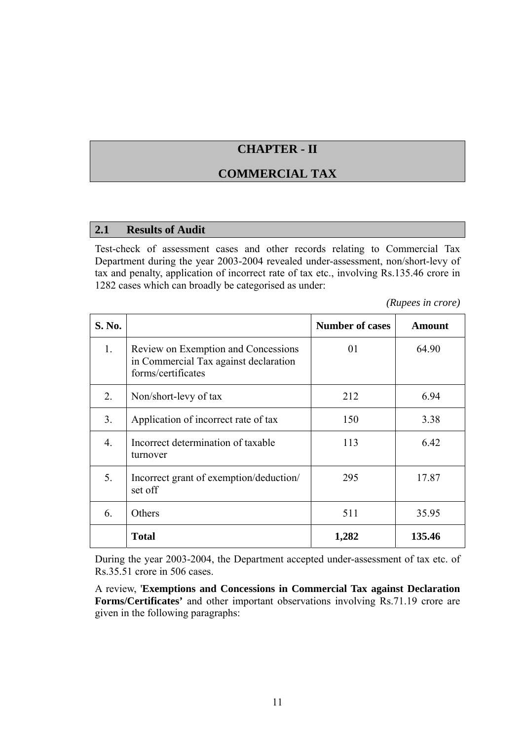# **CHAPTER - II**

## **COMMERCIAL TAX**

### **2.1 Results of Audit**

Test-check of assessment cases and other records relating to Commercial Tax Department during the year 2003-2004 revealed under-assessment, non/short-levy of tax and penalty, application of incorrect rate of tax etc., involving Rs.135.46 crore in 1282 cases which can broadly be categorised as under:

*(Rupees in crore)*

| S. No.           |                                                                                                    | <b>Number of cases</b> | Amount |
|------------------|----------------------------------------------------------------------------------------------------|------------------------|--------|
| $1_{\cdot}$      | Review on Exemption and Concessions<br>in Commercial Tax against declaration<br>forms/certificates | 01                     | 64.90  |
| 2.               | Non/short-levy of tax                                                                              | 212                    | 6.94   |
| 3 <sub>1</sub>   | Application of incorrect rate of tax                                                               | 150                    | 3.38   |
| $\overline{4}$ . | Incorrect determination of taxable<br>turnover                                                     | 113                    | 6.42   |
| 5.               | Incorrect grant of exemption/deduction/<br>set off                                                 | 295                    | 17.87  |
| 6.               | Others                                                                                             | 511                    | 35.95  |
|                  | <b>Total</b>                                                                                       | 1,282                  | 135.46 |

During the year 2003-2004, the Department accepted under-assessment of tax etc. of Rs.35.51 crore in 506 cases.

A review, '**Exemptions and Concessions in Commercial Tax against Declaration Forms/Certificates'** and other important observations involving Rs.71.19 crore are given in the following paragraphs: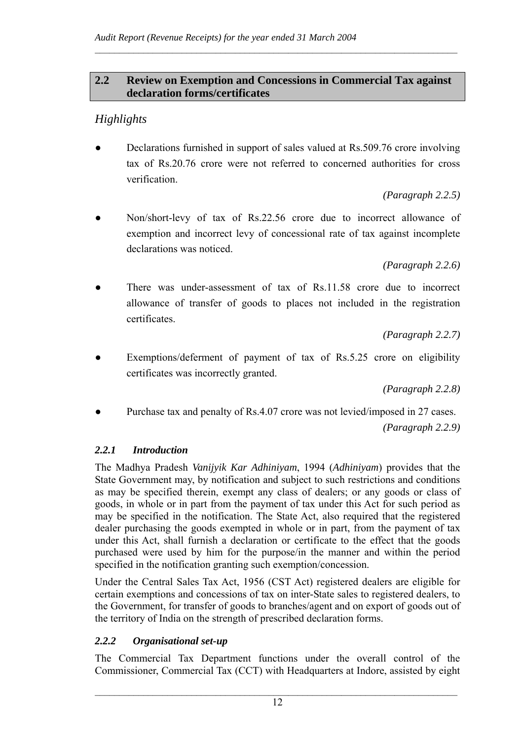## **2.2 Review on Exemption and Concessions in Commercial Tax against declaration forms/certificates**

 $\mathcal{L}_\text{max} = \frac{1}{2} \sum_{i=1}^n \mathcal{L}_\text{max} = \frac{1}{2} \sum_{i=1}^n \mathcal{L}_\text{max} = \frac{1}{2} \sum_{i=1}^n \mathcal{L}_\text{max} = \frac{1}{2} \sum_{i=1}^n \mathcal{L}_\text{max} = \frac{1}{2} \sum_{i=1}^n \mathcal{L}_\text{max} = \frac{1}{2} \sum_{i=1}^n \mathcal{L}_\text{max} = \frac{1}{2} \sum_{i=1}^n \mathcal{L}_\text{max} = \frac{1}{2} \sum_{i=$ 

# *Highlights*

Declarations furnished in support of sales valued at Rs.509.76 crore involving tax of Rs.20.76 crore were not referred to concerned authorities for cross verification.

*(Paragraph 2.2.5)*

Non/short-levy of tax of Rs.22.56 crore due to incorrect allowance of exemption and incorrect levy of concessional rate of tax against incomplete declarations was noticed.

*(Paragraph 2.2.6)*

There was under-assessment of tax of Rs.11.58 crore due to incorrect allowance of transfer of goods to places not included in the registration certificates.

*(Paragraph 2.2.7)*

Exemptions/deferment of payment of tax of Rs.5.25 crore on eligibility certificates was incorrectly granted.

*(Paragraph 2.2.8)*

Purchase tax and penalty of Rs.4.07 crore was not levied/imposed in 27 cases.

*(Paragraph 2.2.9)*

## *2.2.1 Introduction*

The Madhya Pradesh *Vanijyik Kar Adhiniyam*, 1994 (*Adhiniyam*) provides that the State Government may, by notification and subject to such restrictions and conditions as may be specified therein, exempt any class of dealers; or any goods or class of goods, in whole or in part from the payment of tax under this Act for such period as may be specified in the notification. The State Act, also required that the registered dealer purchasing the goods exempted in whole or in part, from the payment of tax under this Act, shall furnish a declaration or certificate to the effect that the goods purchased were used by him for the purpose/in the manner and within the period specified in the notification granting such exemption/concession.

Under the Central Sales Tax Act, 1956 (CST Act) registered dealers are eligible for certain exemptions and concessions of tax on inter-State sales to registered dealers, to the Government, for transfer of goods to branches/agent and on export of goods out of the territory of India on the strength of prescribed declaration forms.

## *2.2.2 Organisational set-up*

The Commercial Tax Department functions under the overall control of the Commissioner, Commercial Tax (CCT) with Headquarters at Indore, assisted by eight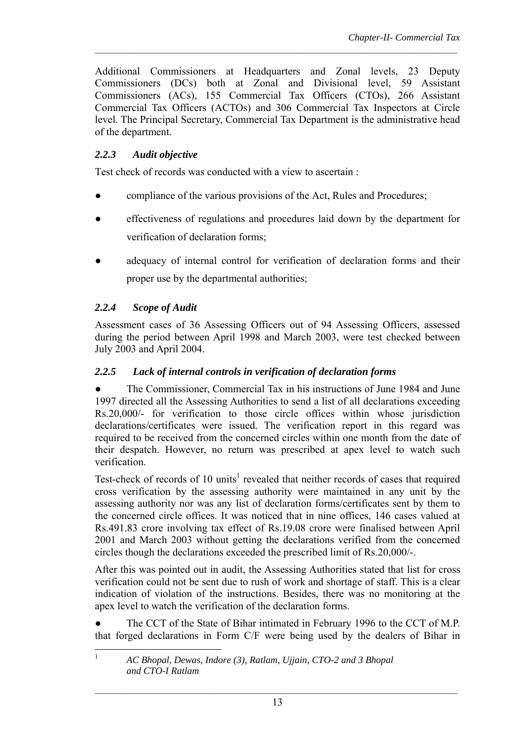Additional Commissioners at Headquarters and Zonal levels, 23 Deputy Commissioners (DCs) both at Zonal and Divisional level, 59 Assistant Commissioners (ACs), 155 Commercial Tax Officers (CTOs), 266 Assistant Commercial Tax Officers (ACTOs) and 306 Commercial Tax Inspectors at Circle level. The Principal Secretary, Commercial Tax Department is the administrative head of the department.

 $\mathcal{L}_\text{max} = \frac{1}{2} \sum_{i=1}^n \mathcal{L}_\text{max} = \frac{1}{2} \sum_{i=1}^n \mathcal{L}_\text{max} = \frac{1}{2} \sum_{i=1}^n \mathcal{L}_\text{max} = \frac{1}{2} \sum_{i=1}^n \mathcal{L}_\text{max} = \frac{1}{2} \sum_{i=1}^n \mathcal{L}_\text{max} = \frac{1}{2} \sum_{i=1}^n \mathcal{L}_\text{max} = \frac{1}{2} \sum_{i=1}^n \mathcal{L}_\text{max} = \frac{1}{2} \sum_{i=$ 

# *2.2.3 Audit objective*

Test check of records was conducted with a view to ascertain :

- compliance of the various provisions of the Act, Rules and Procedures;
- effectiveness of regulations and procedures laid down by the department for verification of declaration forms;
- adequacy of internal control for verification of declaration forms and their proper use by the departmental authorities;

# *2.2.4 Scope of Audit*

Assessment cases of 36 Assessing Officers out of 94 Assessing Officers, assessed during the period between April 1998 and March 2003, were test checked between July 2003 and April 2004.

## *2.2.5 Lack of internal controls in verification of declaration forms*

• The Commissioner, Commercial Tax in his instructions of June 1984 and June 1997 directed all the Assessing Authorities to send a list of all declarations exceeding Rs.20,000/- for verification to those circle offices within whose jurisdiction declarations/certificates were issued. The verification report in this regard was required to be received from the concerned circles within one month from the date of their despatch. However, no return was prescribed at apex level to watch such verification.

Test-check of records of 10 units<sup>1</sup> revealed that neither records of cases that required cross verification by the assessing authority were maintained in any unit by the assessing authority nor was any list of declaration forms/certificates sent by them to the concerned circle offices. It was noticed that in nine offices, 146 cases valued at Rs.491.83 crore involving tax effect of Rs.19.08 crore were finalised between April 2001 and March 2003 without getting the declarations verified from the concerned circles though the declarations exceeded the prescribed limit of Rs.20,000/-.

After this was pointed out in audit, the Assessing Authorities stated that list for cross verification could not be sent due to rush of work and shortage of staff. This is a clear indication of violation of the instructions. Besides, there was no monitoring at the apex level to watch the verification of the declaration forms.

The CCT of the State of Bihar intimated in February 1996 to the CCT of M.P. that forged declarations in Form C/F were being used by the dealers of Bihar in

 $\frac{1}{1}$  *AC Bhopal, Dewas, Indore (3), Ratlam, Ujjain, CTO-2 and 3 Bhopal and CTO-I Ratlam*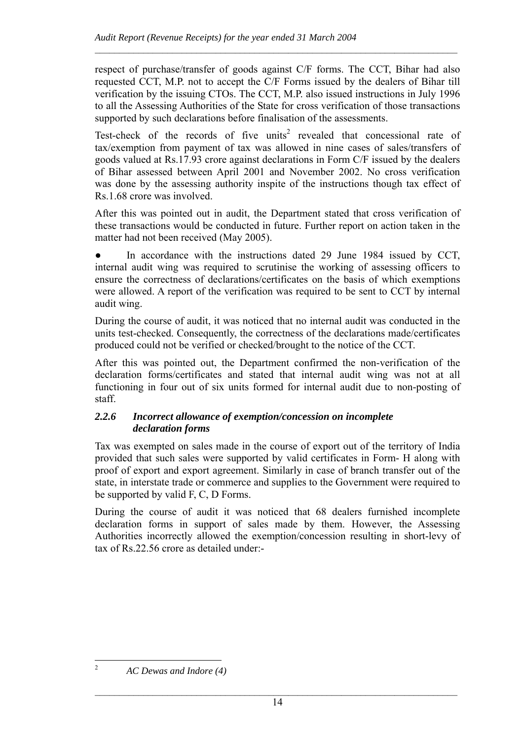respect of purchase/transfer of goods against C/F forms. The CCT, Bihar had also requested CCT, M.P. not to accept the C/F Forms issued by the dealers of Bihar till verification by the issuing CTOs. The CCT, M.P. also issued instructions in July 1996 to all the Assessing Authorities of the State for cross verification of those transactions supported by such declarations before finalisation of the assessments.

 $\mathcal{L}_\text{max} = \frac{1}{2} \sum_{i=1}^n \mathcal{L}_\text{max} = \frac{1}{2} \sum_{i=1}^n \mathcal{L}_\text{max} = \frac{1}{2} \sum_{i=1}^n \mathcal{L}_\text{max} = \frac{1}{2} \sum_{i=1}^n \mathcal{L}_\text{max} = \frac{1}{2} \sum_{i=1}^n \mathcal{L}_\text{max} = \frac{1}{2} \sum_{i=1}^n \mathcal{L}_\text{max} = \frac{1}{2} \sum_{i=1}^n \mathcal{L}_\text{max} = \frac{1}{2} \sum_{i=$ 

Test-check of the records of five units<sup>2</sup> revealed that concessional rate of tax/exemption from payment of tax was allowed in nine cases of sales/transfers of goods valued at Rs.17.93 crore against declarations in Form C/F issued by the dealers of Bihar assessed between April 2001 and November 2002. No cross verification was done by the assessing authority inspite of the instructions though tax effect of Rs.1.68 crore was involved.

After this was pointed out in audit, the Department stated that cross verification of these transactions would be conducted in future. Further report on action taken in the matter had not been received (May 2005).

• In accordance with the instructions dated 29 June 1984 issued by CCT, internal audit wing was required to scrutinise the working of assessing officers to ensure the correctness of declarations/certificates on the basis of which exemptions were allowed. A report of the verification was required to be sent to CCT by internal audit wing.

During the course of audit, it was noticed that no internal audit was conducted in the units test-checked. Consequently, the correctness of the declarations made/certificates produced could not be verified or checked/brought to the notice of the CCT.

After this was pointed out, the Department confirmed the non-verification of the declaration forms/certificates and stated that internal audit wing was not at all functioning in four out of six units formed for internal audit due to non-posting of staff.

### *2.2.6 Incorrect allowance of exemption/concession on incomplete declaration forms*

Tax was exempted on sales made in the course of export out of the territory of India provided that such sales were supported by valid certificates in Form- H along with proof of export and export agreement. Similarly in case of branch transfer out of the state, in interstate trade or commerce and supplies to the Government were required to be supported by valid F, C, D Forms.

During the course of audit it was noticed that 68 dealers furnished incomplete declaration forms in support of sales made by them. However, the Assessing Authorities incorrectly allowed the exemption/concession resulting in short-levy of tax of Rs.22.56 crore as detailed under:-

 $\frac{1}{2}$ 

*AC Dewas and Indore (4)*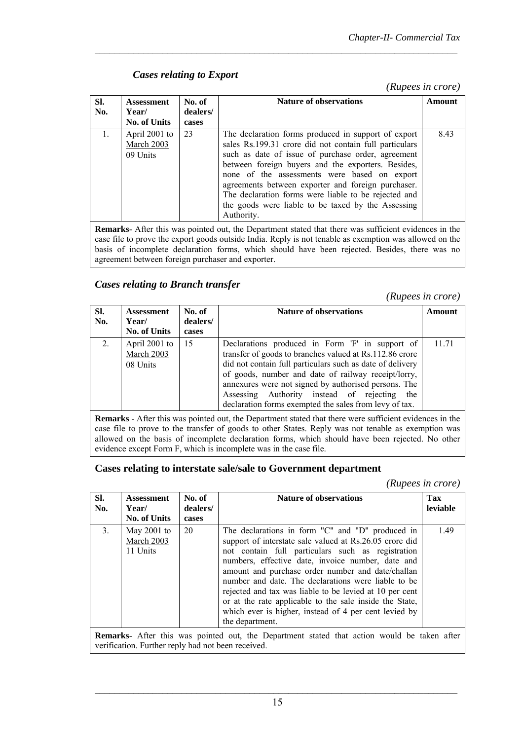## *Cases relating to Export*

 *(Rupees in crore)*

| SI.<br>No.     | <b>Assessment</b><br>Year/<br><b>No. of Units</b> | No. of<br>dealers/<br>cases | <b>Nature of observations</b>                                                                                                                                                                                                                                                                                                                                                                                                                               | Amount |
|----------------|---------------------------------------------------|-----------------------------|-------------------------------------------------------------------------------------------------------------------------------------------------------------------------------------------------------------------------------------------------------------------------------------------------------------------------------------------------------------------------------------------------------------------------------------------------------------|--------|
| $\mathbf{1}$ . | April 2001 to<br>March 2003<br>09 Units           | 23                          | The declaration forms produced in support of export<br>sales Rs.199.31 crore did not contain full particulars<br>such as date of issue of purchase order, agreement<br>between foreign buyers and the exporters. Besides,<br>none of the assessments were based on export<br>agreements between exporter and foreign purchaser.<br>The declaration forms were liable to be rejected and<br>the goods were liable to be taxed by the Assessing<br>Authority. | 8.43   |
|                |                                                   |                             | <b>Remarks</b> - After this was pointed out, the Department stated that there was sufficient evidences in the                                                                                                                                                                                                                                                                                                                                               |        |

 $\mathcal{L}_\text{max} = \frac{1}{2} \sum_{i=1}^n \mathcal{L}_\text{max} = \frac{1}{2} \sum_{i=1}^n \mathcal{L}_\text{max} = \frac{1}{2} \sum_{i=1}^n \mathcal{L}_\text{max} = \frac{1}{2} \sum_{i=1}^n \mathcal{L}_\text{max} = \frac{1}{2} \sum_{i=1}^n \mathcal{L}_\text{max} = \frac{1}{2} \sum_{i=1}^n \mathcal{L}_\text{max} = \frac{1}{2} \sum_{i=1}^n \mathcal{L}_\text{max} = \frac{1}{2} \sum_{i=$ 

**Remarks**- After this was pointed out, the Department stated that there was sufficient evidences in the case file to prove the export goods outside India. Reply is not tenable as exemption was allowed on the basis of incomplete declaration forms, which should have been rejected. Besides, there was no agreement between foreign purchaser and exporter.

### *Cases relating to Branch transfer*

 *(Rupees in crore)*

| SI.<br>No. | <b>Assessment</b><br>Year/<br><b>No. of Units</b> | No. of<br>dealers/<br>cases | <b>Nature of observations</b>                                                                                                                                                                                                                                                                                                                                                                       | Amount |
|------------|---------------------------------------------------|-----------------------------|-----------------------------------------------------------------------------------------------------------------------------------------------------------------------------------------------------------------------------------------------------------------------------------------------------------------------------------------------------------------------------------------------------|--------|
| 2.         | April 2001 to<br>March 2003<br>08 Units           | 15                          | Declarations produced in Form 'F' in support of<br>transfer of goods to branches valued at Rs.112.86 crore<br>did not contain full particulars such as date of delivery<br>of goods, number and date of railway receipt/lorry,<br>annexures were not signed by authorised persons. The<br>Assessing Authority instead of rejecting<br>the<br>declaration forms exempted the sales from levy of tax. | 11.71  |

**Remarks** - After this was pointed out, the Department stated that there were sufficient evidences in the case file to prove to the transfer of goods to other States. Reply was not tenable as exemption was allowed on the basis of incomplete declaration forms, which should have been rejected. No other evidence except Form F, which is incomplete was in the case file.

### **Cases relating to interstate sale/sale to Government department**

*(Rupees in crore)*

| SI.<br>No. | <b>Assessment</b><br>Year/<br><b>No. of Units</b>                                                                                                         | No. of<br>dealers/<br>cases | <b>Nature of observations</b>                                                                                                                                                                                                                                                                                                                                                                                                                                                                                                       | Tax<br>leviable |  |  |
|------------|-----------------------------------------------------------------------------------------------------------------------------------------------------------|-----------------------------|-------------------------------------------------------------------------------------------------------------------------------------------------------------------------------------------------------------------------------------------------------------------------------------------------------------------------------------------------------------------------------------------------------------------------------------------------------------------------------------------------------------------------------------|-----------------|--|--|
| 3.         | May $2001$ to<br>March 2003<br>11 Units                                                                                                                   | 20                          | The declarations in form "C" and "D" produced in<br>support of interstate sale valued at Rs.26.05 crore did<br>not contain full particulars such as registration<br>numbers, effective date, invoice number, date and<br>amount and purchase order number and date/challan<br>number and date. The declarations were liable to be<br>rejected and tax was liable to be levied at 10 per cent<br>or at the rate applicable to the sale inside the State,<br>which ever is higher, instead of 4 per cent levied by<br>the department. | 1.49            |  |  |
|            | <b>Remarks</b> - After this was pointed out, the Department stated that action would be taken after<br>verification. Further reply had not been received. |                             |                                                                                                                                                                                                                                                                                                                                                                                                                                                                                                                                     |                 |  |  |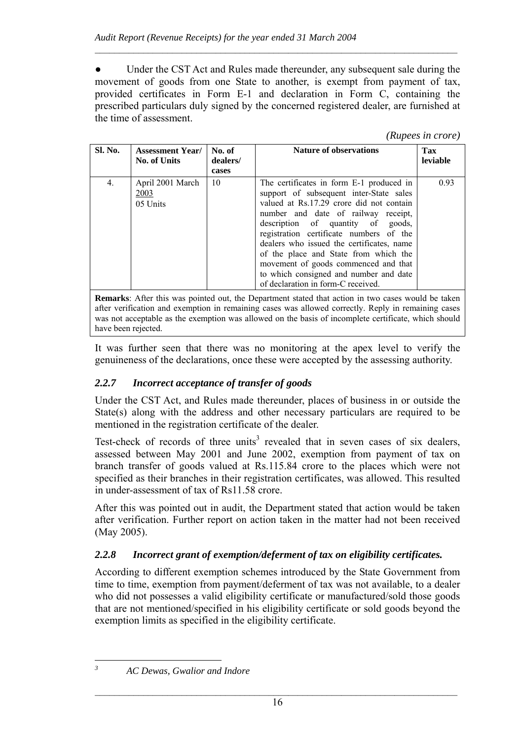• Under the CST Act and Rules made thereunder, any subsequent sale during the movement of goods from one State to another, is exempt from payment of tax, provided certificates in Form E-1 and declaration in Form C, containing the prescribed particulars duly signed by the concerned registered dealer, are furnished at the time of assessment.

 $\mathcal{L}_\text{max} = \frac{1}{2} \sum_{i=1}^n \mathcal{L}_\text{max} = \frac{1}{2} \sum_{i=1}^n \mathcal{L}_\text{max} = \frac{1}{2} \sum_{i=1}^n \mathcal{L}_\text{max} = \frac{1}{2} \sum_{i=1}^n \mathcal{L}_\text{max} = \frac{1}{2} \sum_{i=1}^n \mathcal{L}_\text{max} = \frac{1}{2} \sum_{i=1}^n \mathcal{L}_\text{max} = \frac{1}{2} \sum_{i=1}^n \mathcal{L}_\text{max} = \frac{1}{2} \sum_{i=$ 

#### *(Rupees in crore)*

| Sl. No. | <b>Assessment Year/</b><br><b>No. of Units</b> | No. of<br>dealers/<br>cases | <b>Nature of observations</b>                                                                                                                                                                                                                                                                                                                                                                                                                                        | Tax<br>leviable |
|---------|------------------------------------------------|-----------------------------|----------------------------------------------------------------------------------------------------------------------------------------------------------------------------------------------------------------------------------------------------------------------------------------------------------------------------------------------------------------------------------------------------------------------------------------------------------------------|-----------------|
| 4.      | April 2001 March<br><u>2003</u><br>05 Units    | 10                          | The certificates in form E-1 produced in<br>support of subsequent inter-State sales<br>valued at Rs.17.29 crore did not contain<br>number and date of railway receipt,<br>description of quantity of goods,<br>registration certificate numbers of the<br>dealers who issued the certificates, name<br>of the place and State from which the<br>movement of goods commenced and that<br>to which consigned and number and date<br>of declaration in form-C received. | 0.93            |
|         |                                                |                             |                                                                                                                                                                                                                                                                                                                                                                                                                                                                      |                 |

**Remarks**: After this was pointed out, the Department stated that action in two cases would be taken after verification and exemption in remaining cases was allowed correctly. Reply in remaining cases was not acceptable as the exemption was allowed on the basis of incomplete certificate, which should have been rejected.

It was further seen that there was no monitoring at the apex level to verify the genuineness of the declarations, once these were accepted by the assessing authority.

## *2.2.7 Incorrect acceptance of transfer of goods*

Under the CST Act, and Rules made thereunder, places of business in or outside the State(s) along with the address and other necessary particulars are required to be mentioned in the registration certificate of the dealer.

Test-check of records of three units<sup>3</sup> revealed that in seven cases of six dealers, assessed between May 2001 and June 2002, exemption from payment of tax on branch transfer of goods valued at Rs.115.84 crore to the places which were not specified as their branches in their registration certificates, was allowed. This resulted in under-assessment of tax of Rs11.58 crore.

After this was pointed out in audit, the Department stated that action would be taken after verification. Further report on action taken in the matter had not been received (May 2005).

## *2.2.8 Incorrect grant of exemption/deferment of tax on eligibility certificates.*

According to different exemption schemes introduced by the State Government from time to time, exemption from payment/deferment of tax was not available, to a dealer who did not possesses a valid eligibility certificate or manufactured/sold those goods that are not mentioned/specified in his eligibility certificate or sold goods beyond the exemption limits as specified in the eligibility certificate.

 $\overline{a}$ *3*

*AC Dewas, Gwalior and Indore*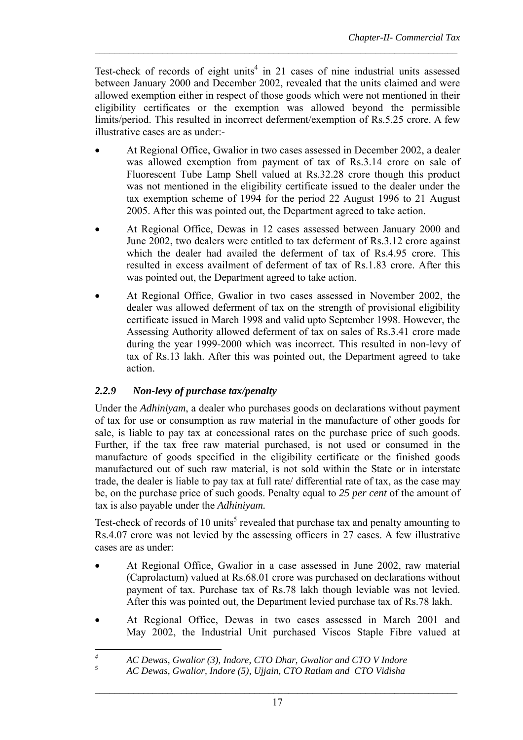Test-check of records of eight units<sup>4</sup> in 21 cases of nine industrial units assessed between January 2000 and December 2002, revealed that the units claimed and were allowed exemption either in respect of those goods which were not mentioned in their eligibility certificates or the exemption was allowed beyond the permissible limits/period. This resulted in incorrect deferment/exemption of Rs.5.25 crore. A few illustrative cases are as under:-

 $\mathcal{L}_\text{max} = \frac{1}{2} \sum_{i=1}^n \mathcal{L}_\text{max} = \frac{1}{2} \sum_{i=1}^n \mathcal{L}_\text{max} = \frac{1}{2} \sum_{i=1}^n \mathcal{L}_\text{max} = \frac{1}{2} \sum_{i=1}^n \mathcal{L}_\text{max} = \frac{1}{2} \sum_{i=1}^n \mathcal{L}_\text{max} = \frac{1}{2} \sum_{i=1}^n \mathcal{L}_\text{max} = \frac{1}{2} \sum_{i=1}^n \mathcal{L}_\text{max} = \frac{1}{2} \sum_{i=$ 

- At Regional Office, Gwalior in two cases assessed in December 2002, a dealer was allowed exemption from payment of tax of Rs.3.14 crore on sale of Fluorescent Tube Lamp Shell valued at Rs.32.28 crore though this product was not mentioned in the eligibility certificate issued to the dealer under the tax exemption scheme of 1994 for the period 22 August 1996 to 21 August 2005. After this was pointed out, the Department agreed to take action.
- At Regional Office, Dewas in 12 cases assessed between January 2000 and June 2002, two dealers were entitled to tax deferment of Rs.3.12 crore against which the dealer had availed the deferment of tax of Rs.4.95 crore. This resulted in excess availment of deferment of tax of Rs.1.83 crore. After this was pointed out, the Department agreed to take action.
- At Regional Office, Gwalior in two cases assessed in November 2002, the dealer was allowed deferment of tax on the strength of provisional eligibility certificate issued in March 1998 and valid upto September 1998. However, the Assessing Authority allowed deferment of tax on sales of Rs.3.41 crore made during the year 1999-2000 which was incorrect. This resulted in non-levy of tax of Rs.13 lakh. After this was pointed out, the Department agreed to take action.

## *2.2.9 Non-levy of purchase tax/penalty*

Under the *Adhiniyam*, a dealer who purchases goods on declarations without payment of tax for use or consumption as raw material in the manufacture of other goods for sale, is liable to pay tax at concessional rates on the purchase price of such goods. Further, if the tax free raw material purchased, is not used or consumed in the manufacture of goods specified in the eligibility certificate or the finished goods manufactured out of such raw material, is not sold within the State or in interstate trade, the dealer is liable to pay tax at full rate/ differential rate of tax, as the case may be, on the purchase price of such goods. Penalty equal to *25 per cent* of the amount of tax is also payable under the *Adhiniyam.*

Test-check of records of 10 units<sup>5</sup> revealed that purchase tax and penalty amounting to Rs.4.07 crore was not levied by the assessing officers in 27 cases. A few illustrative cases are as under:

- At Regional Office, Gwalior in a case assessed in June 2002, raw material (Caprolactum) valued at Rs.68.01 crore was purchased on declarations without payment of tax. Purchase tax of Rs.78 lakh though leviable was not levied. After this was pointed out, the Department levied purchase tax of Rs.78 lakh.
- At Regional Office, Dewas in two cases assessed in March 2001 and May 2002, the Industrial Unit purchased Viscos Staple Fibre valued at

 *4 AC Dewas, Gwalior (3), Indore, CTO Dhar, Gwalior and CTO V Indore* 

*<sup>5</sup> AC Dewas, Gwalior, Indore (5), Ujjain, CTO Ratlam and CTO Vidisha*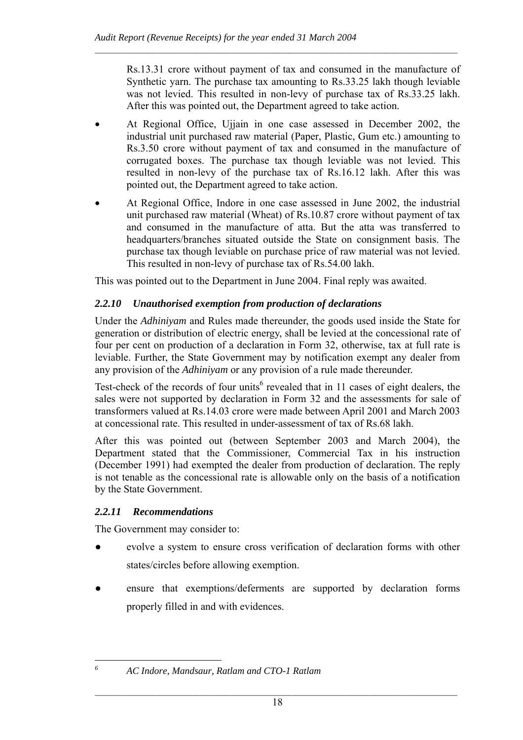Rs.13.31 crore without payment of tax and consumed in the manufacture of Synthetic yarn. The purchase tax amounting to Rs.33.25 lakh though leviable was not levied. This resulted in non-levy of purchase tax of Rs.33.25 lakh. After this was pointed out, the Department agreed to take action.

• At Regional Office, Ujjain in one case assessed in December 2002, the industrial unit purchased raw material (Paper, Plastic, Gum etc.) amounting to Rs.3.50 crore without payment of tax and consumed in the manufacture of corrugated boxes. The purchase tax though leviable was not levied. This resulted in non-levy of the purchase tax of Rs.16.12 lakh. After this was pointed out, the Department agreed to take action.

 $\mathcal{L}_\text{max} = \frac{1}{2} \sum_{i=1}^n \mathcal{L}_\text{max} = \frac{1}{2} \sum_{i=1}^n \mathcal{L}_\text{max} = \frac{1}{2} \sum_{i=1}^n \mathcal{L}_\text{max} = \frac{1}{2} \sum_{i=1}^n \mathcal{L}_\text{max} = \frac{1}{2} \sum_{i=1}^n \mathcal{L}_\text{max} = \frac{1}{2} \sum_{i=1}^n \mathcal{L}_\text{max} = \frac{1}{2} \sum_{i=1}^n \mathcal{L}_\text{max} = \frac{1}{2} \sum_{i=$ 

• At Regional Office, Indore in one case assessed in June 2002, the industrial unit purchased raw material (Wheat) of Rs.10.87 crore without payment of tax and consumed in the manufacture of atta. But the atta was transferred to headquarters/branches situated outside the State on consignment basis. The purchase tax though leviable on purchase price of raw material was not levied. This resulted in non-levy of purchase tax of Rs.54.00 lakh.

This was pointed out to the Department in June 2004. Final reply was awaited.

## *2.2.10 Unauthorised exemption from production of declarations*

Under the *Adhiniyam* and Rules made thereunder, the goods used inside the State for generation or distribution of electric energy, shall be levied at the concessional rate of four per cent on production of a declaration in Form 32, otherwise, tax at full rate is leviable. Further, the State Government may by notification exempt any dealer from any provision of the *Adhiniyam* or any provision of a rule made thereunder.

Test-check of the records of four units<sup>6</sup> revealed that in 11 cases of eight dealers, the sales were not supported by declaration in Form 32 and the assessments for sale of transformers valued at Rs.14.03 crore were made between April 2001 and March 2003 at concessional rate. This resulted in under-assessment of tax of Rs.68 lakh.

After this was pointed out (between September 2003 and March 2004), the Department stated that the Commissioner, Commercial Tax in his instruction (December 1991) had exempted the dealer from production of declaration. The reply is not tenable as the concessional rate is allowable only on the basis of a notification by the State Government.

## *2.2.11 Recommendations*

The Government may consider to:

- evolve a system to ensure cross verification of declaration forms with other states/circles before allowing exemption.
- ensure that exemptions/deferments are supported by declaration forms properly filled in and with evidences.

 $\overline{a}$ *6*

*AC Indore, Mandsaur, Ratlam and CTO-1 Ratlam*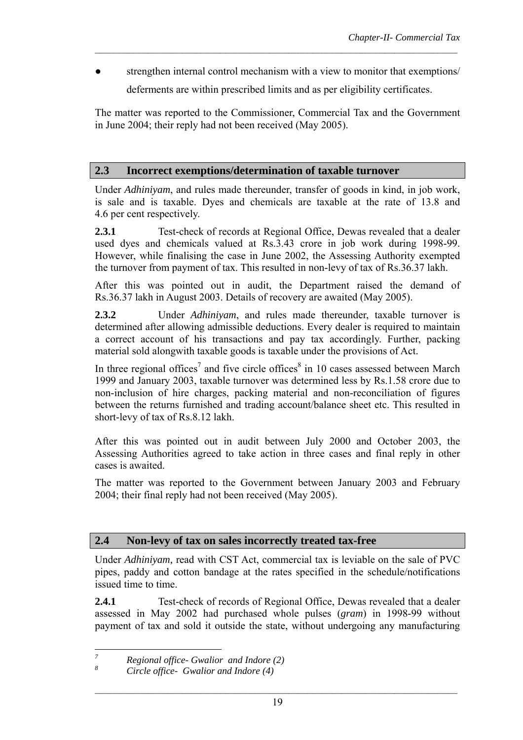strengthen internal control mechanism with a view to monitor that exemptions/

 $\mathcal{L}_\text{max} = \frac{1}{2} \sum_{i=1}^n \mathcal{L}_\text{max} = \frac{1}{2} \sum_{i=1}^n \mathcal{L}_\text{max} = \frac{1}{2} \sum_{i=1}^n \mathcal{L}_\text{max} = \frac{1}{2} \sum_{i=1}^n \mathcal{L}_\text{max} = \frac{1}{2} \sum_{i=1}^n \mathcal{L}_\text{max} = \frac{1}{2} \sum_{i=1}^n \mathcal{L}_\text{max} = \frac{1}{2} \sum_{i=1}^n \mathcal{L}_\text{max} = \frac{1}{2} \sum_{i=$ 

deferments are within prescribed limits and as per eligibility certificates.

The matter was reported to the Commissioner, Commercial Tax and the Government in June 2004; their reply had not been received (May 2005).

### **2.3 Incorrect exemptions/determination of taxable turnover**

Under *Adhiniyam*, and rules made thereunder, transfer of goods in kind, in job work, is sale and is taxable. Dyes and chemicals are taxable at the rate of 13.8 and 4.6 per cent respectively.

**2.3.1** Test-check of records at Regional Office, Dewas revealed that a dealer used dyes and chemicals valued at Rs.3.43 crore in job work during 1998-99. However, while finalising the case in June 2002, the Assessing Authority exempted the turnover from payment of tax. This resulted in non-levy of tax of Rs.36.37 lakh.

After this was pointed out in audit, the Department raised the demand of Rs.36.37 lakh in August 2003. Details of recovery are awaited (May 2005).

**2.3.2** Under *Adhiniyam*, and rules made thereunder, taxable turnover is determined after allowing admissible deductions. Every dealer is required to maintain a correct account of his transactions and pay tax accordingly. Further, packing material sold alongwith taxable goods is taxable under the provisions of Act.

In three regional offices<sup>7</sup> and five circle offices<sup>8</sup> in 10 cases assessed between March 1999 and January 2003, taxable turnover was determined less by Rs.1.58 crore due to non-inclusion of hire charges, packing material and non-reconciliation of figures between the returns furnished and trading account/balance sheet etc. This resulted in short-levy of tax of Rs.8.12 lakh.

After this was pointed out in audit between July 2000 and October 2003, the Assessing Authorities agreed to take action in three cases and final reply in other cases is awaited.

The matter was reported to the Government between January 2003 and February 2004; their final reply had not been received (May 2005).

## **2.4 Non-levy of tax on sales incorrectly treated tax-free**

Under *Adhiniyam,* read with CST Act, commercial tax is leviable on the sale of PVC pipes, paddy and cotton bandage at the rates specified in the schedule/notifications issued time to time.

**2.4.1** Test-check of records of Regional Office, Dewas revealed that a dealer assessed in May 2002 had purchased whole pulses (*gram*) in 1998-99 without payment of tax and sold it outside the state, without undergoing any manufacturing

 *7 Regional office- Gwalior and Indore (2)* 

*<sup>8</sup> Circle office- Gwalior and Indore (4)*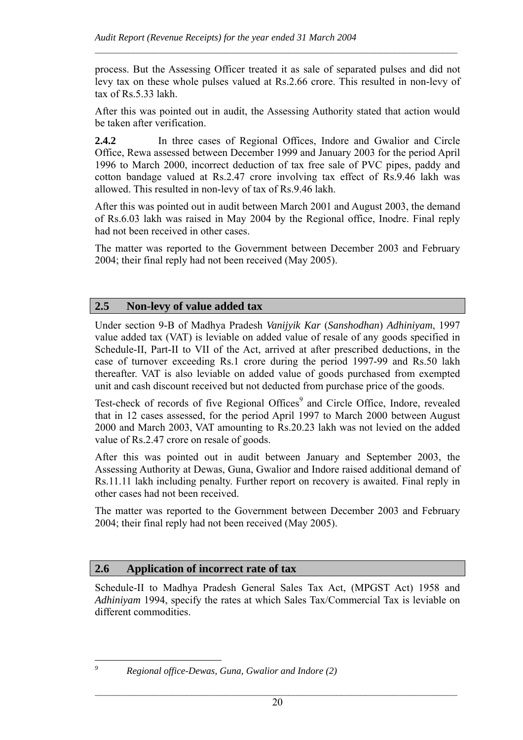process. But the Assessing Officer treated it as sale of separated pulses and did not levy tax on these whole pulses valued at Rs.2.66 crore. This resulted in non-levy of tax of Rs.5.33 lakh.

 $\mathcal{L}_\text{max} = \frac{1}{2} \sum_{i=1}^n \mathcal{L}_\text{max} = \frac{1}{2} \sum_{i=1}^n \mathcal{L}_\text{max} = \frac{1}{2} \sum_{i=1}^n \mathcal{L}_\text{max} = \frac{1}{2} \sum_{i=1}^n \mathcal{L}_\text{max} = \frac{1}{2} \sum_{i=1}^n \mathcal{L}_\text{max} = \frac{1}{2} \sum_{i=1}^n \mathcal{L}_\text{max} = \frac{1}{2} \sum_{i=1}^n \mathcal{L}_\text{max} = \frac{1}{2} \sum_{i=$ 

After this was pointed out in audit, the Assessing Authority stated that action would be taken after verification.

**2.4.2** In three cases of Regional Offices, Indore and Gwalior and Circle Office, Rewa assessed between December 1999 and January 2003 for the period April 1996 to March 2000, incorrect deduction of tax free sale of PVC pipes, paddy and cotton bandage valued at Rs.2.47 crore involving tax effect of Rs.9.46 lakh was allowed. This resulted in non-levy of tax of Rs.9.46 lakh.

After this was pointed out in audit between March 2001 and August 2003, the demand of Rs.6.03 lakh was raised in May 2004 by the Regional office, Inodre. Final reply had not been received in other cases.

The matter was reported to the Government between December 2003 and February 2004; their final reply had not been received (May 2005).

## **2.5 Non-levy of value added tax**

Under section 9-B of Madhya Pradesh *Vanijyik Kar* (*Sanshodhan*) *Adhiniyam*, 1997 value added tax (VAT) is leviable on added value of resale of any goods specified in Schedule-II, Part-II to VII of the Act, arrived at after prescribed deductions, in the case of turnover exceeding Rs.1 crore during the period 1997-99 and Rs.50 lakh thereafter. VAT is also leviable on added value of goods purchased from exempted unit and cash discount received but not deducted from purchase price of the goods.

Test-check of records of five Regional Offices<sup>9</sup> and Circle Office, Indore, revealed that in 12 cases assessed, for the period April 1997 to March 2000 between August 2000 and March 2003, VAT amounting to Rs.20.23 lakh was not levied on the added value of Rs.2.47 crore on resale of goods.

After this was pointed out in audit between January and September 2003, the Assessing Authority at Dewas, Guna, Gwalior and Indore raised additional demand of Rs.11.11 lakh including penalty. Further report on recovery is awaited. Final reply in other cases had not been received.

The matter was reported to the Government between December 2003 and February 2004; their final reply had not been received (May 2005).

## **2.6 Application of incorrect rate of tax**

Schedule-II to Madhya Pradesh General Sales Tax Act, (MPGST Act) 1958 and *Adhiniyam* 1994, specify the rates at which Sales Tax/Commercial Tax is leviable on different commodities.

 $\overline{a}$ *9*

*Regional office-Dewas, Guna, Gwalior and Indore (2)*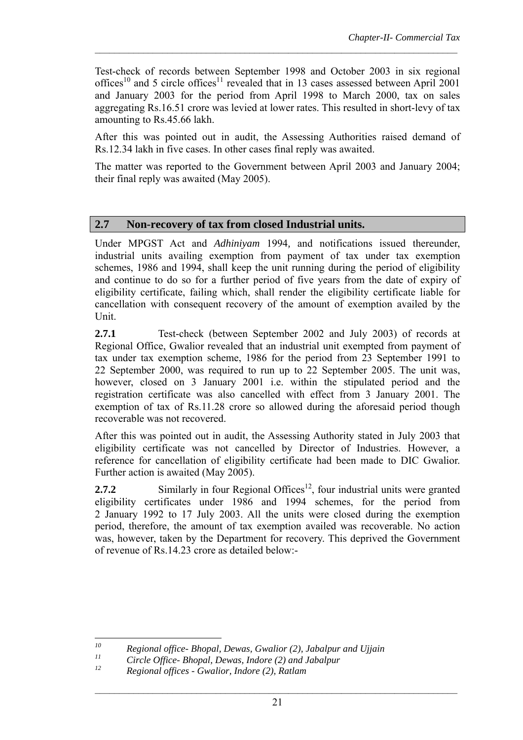Test-check of records between September 1998 and October 2003 in six regional offices<sup>10</sup> and 5 circle offices<sup>11</sup> revealed that in 13 cases assessed between April 2001 and January 2003 for the period from April 1998 to March 2000, tax on sales aggregating Rs.16.51 crore was levied at lower rates. This resulted in short-levy of tax amounting to Rs.45.66 lakh.

 $\mathcal{L}_\text{max} = \frac{1}{2} \sum_{i=1}^n \mathcal{L}_\text{max} = \frac{1}{2} \sum_{i=1}^n \mathcal{L}_\text{max} = \frac{1}{2} \sum_{i=1}^n \mathcal{L}_\text{max} = \frac{1}{2} \sum_{i=1}^n \mathcal{L}_\text{max} = \frac{1}{2} \sum_{i=1}^n \mathcal{L}_\text{max} = \frac{1}{2} \sum_{i=1}^n \mathcal{L}_\text{max} = \frac{1}{2} \sum_{i=1}^n \mathcal{L}_\text{max} = \frac{1}{2} \sum_{i=$ 

After this was pointed out in audit, the Assessing Authorities raised demand of Rs.12.34 lakh in five cases. In other cases final reply was awaited.

The matter was reported to the Government between April 2003 and January 2004; their final reply was awaited (May 2005).

## **2.7 Non-recovery of tax from closed Industrial units.**

Under MPGST Act and *Adhiniyam* 1994*,* and notifications issued thereunder, industrial units availing exemption from payment of tax under tax exemption schemes, 1986 and 1994, shall keep the unit running during the period of eligibility and continue to do so for a further period of five years from the date of expiry of eligibility certificate, failing which, shall render the eligibility certificate liable for cancellation with consequent recovery of the amount of exemption availed by the Unit.

**2.7.1** Test-check (between September 2002 and July 2003) of records at Regional Office, Gwalior revealed that an industrial unit exempted from payment of tax under tax exemption scheme, 1986 for the period from 23 September 1991 to 22 September 2000, was required to run up to 22 September 2005. The unit was, however, closed on 3 January 2001 i.e. within the stipulated period and the registration certificate was also cancelled with effect from 3 January 2001. The exemption of tax of Rs.11.28 crore so allowed during the aforesaid period though recoverable was not recovered.

After this was pointed out in audit, the Assessing Authority stated in July 2003 that eligibility certificate was not cancelled by Director of Industries. However, a reference for cancellation of eligibility certificate had been made to DIC Gwalior. Further action is awaited (May 2005).

**2.7.2** Similarly in four Regional Offices<sup>12</sup>, four industrial units were granted eligibility certificates under 1986 and 1994 schemes, for the period from 2 January 1992 to 17 July 2003. All the units were closed during the exemption period, therefore, the amount of tax exemption availed was recoverable. No action was, however, taken by the Department for recovery. This deprived the Government of revenue of Rs.14.23 crore as detailed below:-

 $10$ *10 Regional office- Bhopal, Dewas, Gwalior (2), Jabalpur and Ujjain* 

*<sup>11</sup> Circle Office- Bhopal, Dewas, Indore (2) and Jabalpur*

*<sup>12</sup> Regional offices - Gwalior, Indore (2), Ratlam*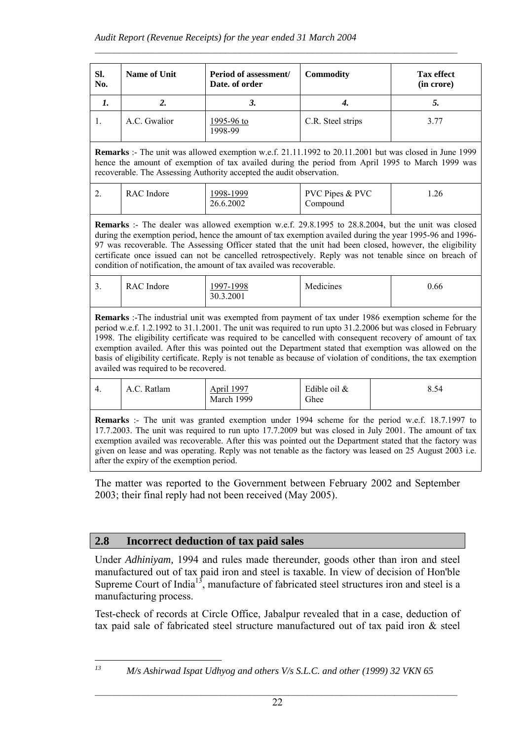| SI.<br>No. | Name of Unit | Period of assessment/<br>Date, of order | <b>Commodity</b>  | <b>Tax effect</b><br>(in crore) |
|------------|--------------|-----------------------------------------|-------------------|---------------------------------|
| ı.         |              | J.                                      | 4.                | C.                              |
|            | A.C. Gwalior | <u>1995-96 to</u><br>1998-99            | C.R. Steel strips | 3.77                            |

 $\mathcal{L}_\text{max} = \frac{1}{2} \sum_{i=1}^n \mathcal{L}_\text{max} = \frac{1}{2} \sum_{i=1}^n \mathcal{L}_\text{max} = \frac{1}{2} \sum_{i=1}^n \mathcal{L}_\text{max} = \frac{1}{2} \sum_{i=1}^n \mathcal{L}_\text{max} = \frac{1}{2} \sum_{i=1}^n \mathcal{L}_\text{max} = \frac{1}{2} \sum_{i=1}^n \mathcal{L}_\text{max} = \frac{1}{2} \sum_{i=1}^n \mathcal{L}_\text{max} = \frac{1}{2} \sum_{i=$ 

**Remarks** :- The unit was allowed exemption w.e.f. 21.11.1992 to 20.11.2001 but was closed in June 1999 hence the amount of exemption of tax availed during the period from April 1995 to March 1999 was recoverable. The Assessing Authority accepted the audit observation.

| <u>.</u> | RAC Indore | 998-1999<br>26.6.2002 | <b>PVC Pipes &amp; PVC</b><br>Compound | 1.26 |
|----------|------------|-----------------------|----------------------------------------|------|
|          |            |                       |                                        |      |

**Remarks** :- The dealer was allowed exemption w.e.f. 29.8.1995 to 28.8.2004, but the unit was closed during the exemption period, hence the amount of tax exemption availed during the year 1995-96 and 1996- 97 was recoverable. The Assessing Officer stated that the unit had been closed, however, the eligibility certificate once issued can not be cancelled retrospectively. Reply was not tenable since on breach of condition of notification, the amount of tax availed was recoverable.

|  | <u>.</u> | RAC Indore | 1997-1998<br>30.3.2001 | Medicines | 0.66 |
|--|----------|------------|------------------------|-----------|------|
|--|----------|------------|------------------------|-----------|------|

**Remarks** :-The industrial unit was exempted from payment of tax under 1986 exemption scheme for the period w.e.f. 1.2.1992 to 31.1.2001. The unit was required to run upto 31.2.2006 but was closed in February 1998. The eligibility certificate was required to be cancelled with consequent recovery of amount of tax exemption availed. After this was pointed out the Department stated that exemption was allowed on the basis of eligibility certificate. Reply is not tenable as because of violation of conditions, the tax exemption availed was required to be recovered.

| $\overline{ }$ | A.C. Ratlam | April 1997 | Edible oil & | 0 <sub>f</sub> |
|----------------|-------------|------------|--------------|----------------|
| ┭.             |             | March 1999 | Ghee         | 8.54           |

**Remarks** :- The unit was granted exemption under 1994 scheme for the period w.e.f. 18.7.1997 to 17.7.2003. The unit was required to run upto 17.7.2009 but was closed in July 2001. The amount of tax exemption availed was recoverable. After this was pointed out the Department stated that the factory was given on lease and was operating. Reply was not tenable as the factory was leased on 25 August 2003 i.e. after the expiry of the exemption period.

The matter was reported to the Government between February 2002 and September 2003; their final reply had not been received (May 2005).

## **2.8 Incorrect deduction of tax paid sales**

Under *Adhiniyam,* 1994 and rules made thereunder, goods other than iron and steel manufactured out of tax paid iron and steel is taxable. In view of decision of Hon'ble Supreme Court of India<sup>13</sup>, manufacture of fabricated steel structures iron and steel is a manufacturing process.

Test-check of records at Circle Office, Jabalpur revealed that in a case, deduction of tax paid sale of fabricated steel structure manufactured out of tax paid iron & steel

 $13$ 

*<sup>13</sup> M/s Ashirwad Ispat Udhyog and others V/s S.L.C. and other (1999) 32 VKN 65*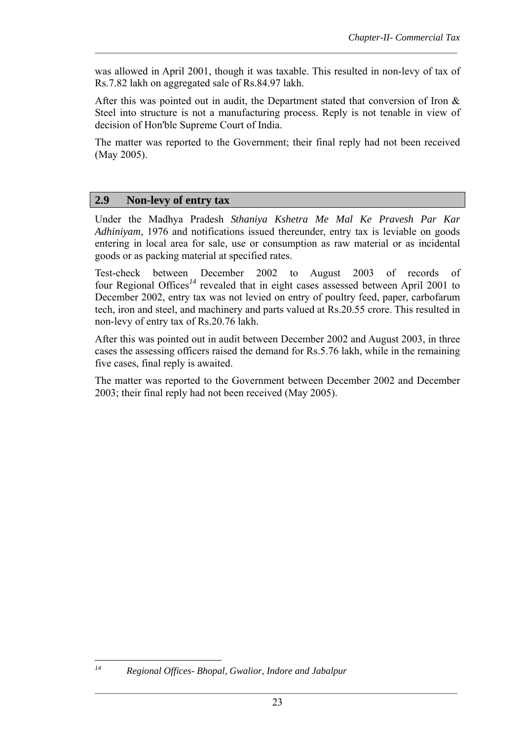was allowed in April 2001, though it was taxable. This resulted in non-levy of tax of Rs.7.82 lakh on aggregated sale of Rs.84.97 lakh.

 $\mathcal{L}_\text{max} = \frac{1}{2} \sum_{i=1}^n \mathcal{L}_\text{max}(\mathbf{x}_i - \mathbf{y}_i)$ 

After this was pointed out in audit, the Department stated that conversion of Iron & Steel into structure is not a manufacturing process. Reply is not tenable in view of decision of Hon'ble Supreme Court of India.

The matter was reported to the Government; their final reply had not been received (May 2005).

### **2.9 Non-levy of entry tax**

Under the Madhya Pradesh *Sthaniya Kshetra Me Mal Ke Pravesh Par Kar Adhiniyam*, 1976 and notifications issued thereunder, entry tax is leviable on goods entering in local area for sale, use or consumption as raw material or as incidental goods or as packing material at specified rates.

Test-check between December 2002 to August 2003 of records of four Regional Offices*<sup>14</sup>* revealed that in eight cases assessed between April 2001 to December 2002, entry tax was not levied on entry of poultry feed, paper, carbofarum tech, iron and steel, and machinery and parts valued at Rs.20.55 crore. This resulted in non-levy of entry tax of Rs.20.76 lakh.

After this was pointed out in audit between December 2002 and August 2003, in three cases the assessing officers raised the demand for Rs.5.76 lakh, while in the remaining five cases, final reply is awaited.

The matter was reported to the Government between December 2002 and December 2003; their final reply had not been received (May 2005).

 $14$ 

*<sup>14</sup> Regional Offices- Bhopal, Gwalior, Indore and Jabalpur*